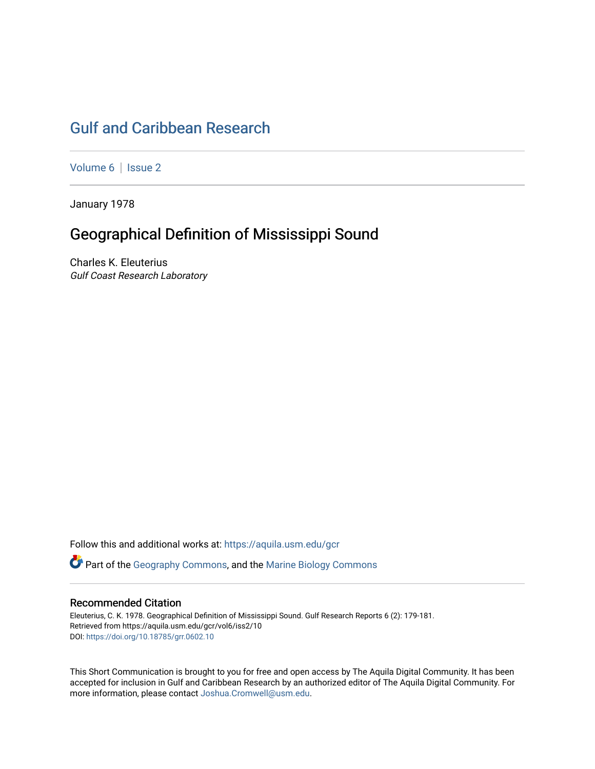# [Gulf and Caribbean Research](https://aquila.usm.edu/gcr)

[Volume 6](https://aquila.usm.edu/gcr/vol6) | Issue 2

January 1978

## Geographical Definition of Mississippi Sound

Charles K. Eleuterius Gulf Coast Research Laboratory

Follow this and additional works at: [https://aquila.usm.edu/gcr](https://aquila.usm.edu/gcr?utm_source=aquila.usm.edu%2Fgcr%2Fvol6%2Fiss2%2F10&utm_medium=PDF&utm_campaign=PDFCoverPages) 

Part of the [Geography Commons,](http://network.bepress.com/hgg/discipline/354?utm_source=aquila.usm.edu%2Fgcr%2Fvol6%2Fiss2%2F10&utm_medium=PDF&utm_campaign=PDFCoverPages) and the [Marine Biology Commons](http://network.bepress.com/hgg/discipline/1126?utm_source=aquila.usm.edu%2Fgcr%2Fvol6%2Fiss2%2F10&utm_medium=PDF&utm_campaign=PDFCoverPages)

## Recommended Citation

Eleuterius, C. K. 1978. Geographical Definition of Mississippi Sound. Gulf Research Reports 6 (2): 179-181. Retrieved from https://aquila.usm.edu/gcr/vol6/iss2/10 DOI: <https://doi.org/10.18785/grr.0602.10>

This Short Communication is brought to you for free and open access by The Aquila Digital Community. It has been accepted for inclusion in Gulf and Caribbean Research by an authorized editor of The Aquila Digital Community. For more information, please contact [Joshua.Cromwell@usm.edu.](mailto:Joshua.Cromwell@usm.edu)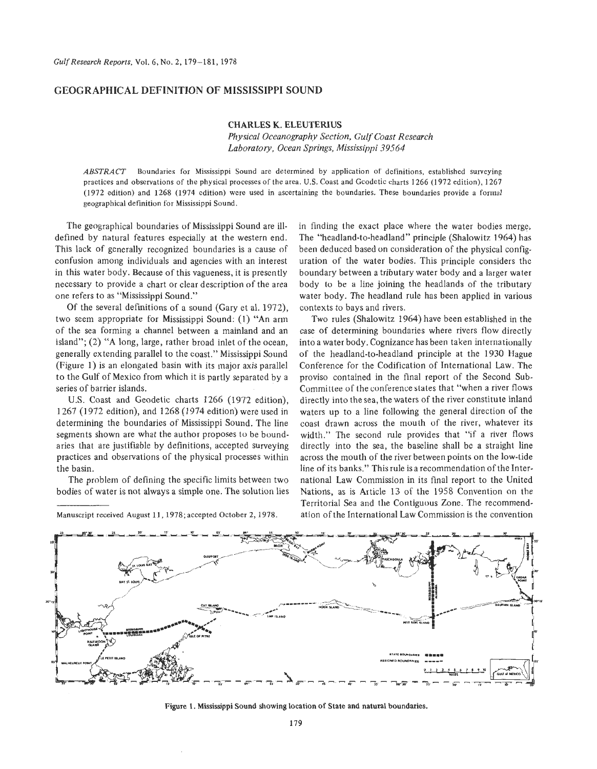### **GEOGRAPHICAL DEFINITION OF MISSISSIPPI SOUND**

### **CHARLES K. ELEUTERIUS**

*Physical Oceanography Section, Gulf Coast Research Laboratory, Ocean Springs, Mississippi 39564* 

*ABSTRACT* Boundaries for Mississippi Sound are determined by application of definitions, established surveying practices and observations of the physical processes of the area. **U.S.** Coast and Gcodetic charts **1266 (1972** edition), **1267 (1972** edition) and **1268 (1974** edition) were used in ascertaining the boundaries. These boundaries provide a formal geographical definition for Mississippi Sound.

The geographical boundaries of Mississippi Sound are illdefined by natural features especially at the western end. This lack of generally recognized boundaries is a cause of confusion among individuals and agencies with an interest in this water body. Because of this vagueness, it is presently necessary to provide a chart or clear description of the area one refers to as "Mississippi Sound."

Of the several definitions of a sound (Gary et al. 1972), two seem appropriate for Mississippi Sound: **(1) "An** arm of the sea forming a channel between a mainland and an island"; (2) **"A** long, large, rather broad inlet of the ocean, generally extending parallel to the coast." Mississippi Sound (Figure 1) is an elongated basin with its major axis parallel to the Gulf of Mexico from which it is partly separated by a series of barrier islands.

US. Coast and Geodetic charts 1266 (1972 edition), 1267 (1 972 edition), and 1268 (1 974 edition) were used in determining the boundaries of Mississippi Sound. The line segments shown are what the author proposes to be boundaries that are justifiable by definitions, accepted surveying practices and observations of the physical processes within the basin.

The problem of defining the specific limits between two bodies of water is not always a simple one. The solution lies in finding the exact place where the water bodies merge, The "headland-to-headland'' principle (Shalowitz 1964) has been deduced based on consideration of the physical config uration of the water bodies. This principle considers the boundary between a tributary water body and a larger water body to be a line joining the headlands of the tributary water body. The headland rule has been applied in various contexts to bays and rivers.

Two rules (Shalowitz 1964) have been established in the case of determining boundaries where rivers flow directly into a water body. Cognizance has been taken internationally of the headland-to-headland principle at the 1930 Hague Conference for the Codification of International Law. The proviso contained in the final report of the Second Sub-Committee of the conference states that "when a river flows directly into the sea, the waters of the river constitute inland waters up to a line following the general direction of the coast drawn across the mouth of the river, whatever its width." The second rule provides that "if a river flows directly into the sea, the baseline shall be a straight line across the mouth of the river between points on the low-tide line of its banks." This rule is a recommendation of the International Law Commission in its final report to the United Nations, as is Article 13 of the 1958 Convention on the Territorial Sea and the Contiguous Zone. The recommendation of the International Law Commission is the convention



**Figure 1. Mississippi Sound showing location of State and natural boundaries.**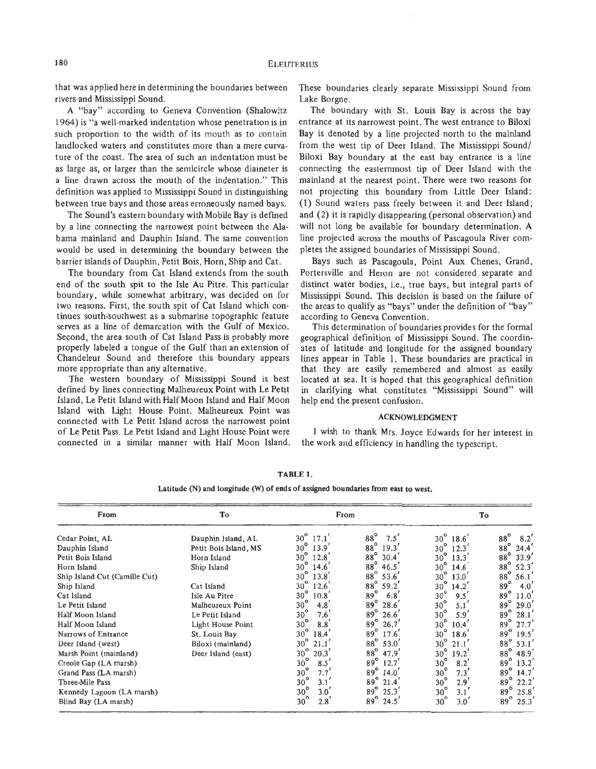that was applied here in determining the boundaries between rivers and Mississippi Sound.

**A** "bay" according to Geneva Convention (Shalowitz 1964) is "a well-marked indentation whose penetration is in such proportion to the width of its mouth as to contain landlocked waters and constitutes more than a mere curvature of the coast. The area of such an indentation must be as large as, or larger than the semicircle whose diameter is a line drawn across the mouth of the indentation." This definition was applied to Mississippi Sound in distinguishing between true bays and those areas erroneously named bays.

The Sound's eastern boundary with Mobile Bay is defined by a line connecting the narrowest point between the Alabama mainland and Dauphin Island. The same convention would be used in determining the boundary between the barrier islands of Dauphin, Petit Bois, Horn, Ship and Cat.

The boundary from Cat Island extends from the south end of the south spit to the Isle Au Pitre. This particular boundary, while somewhat arbitrary, was decided on for two reasons. First, the south spit of Cat Island which continues south-southwest as a submarine topographic feature serves as a line of demarcation with the Gulf of Mexico. Second, the area south of Cat Island Pass is probably more properly labeled a tongue of the Gulf than an extension of Chandeleur Sound and therefore this boundary appears more appropriate than any alternative.

The western boundary of Mississippi Sound is best defined by lines connecting Malheureux Point with Le Petit Island, Le Petit Island with Half Moon Island and Half Moon Island with Light House Point. Malheureux Point was connected with Le Petit Island across the narrowest point of Le Petit Pass. Le Petit Island and Light House Point were connected in a similar manner with Half Moon Island. These boundaries clearly separate Mississippi Sound from Lake Borgne.

The boundary with St. Louis Bay is across the bay entrance at its narrowest point. The west entrance to Biloxi Bay is denoted by a line projected north to the mainland from the west tip of Deer Island. The Mississippi Sound/ Biloxi Bay boundary at the east bay entrance is a line connecting the easternmost tip of Deer Island with the mainland at the nearest point. There were two reasons for not projecting this boundary from Little Deer Island: (1) Sound waters pass freely between it and Deer Island; and *(2)* it is rapidly disappearing (personal observation) and will not long be available for boundary determination. **A**  line projected across the mouths of Pascagoula River completes the assigned boundaries of Mississippi Sound.

Bays such as Pascagoula, Point Aux Chenes, Grand, Portersville and Heron are not considered separate and distinct water bodies, i.e., true bays, but integral parts of Mississippi Sound. This decision is based on the failure of the areas to qualify as "bays" under the definition of "bay" according to Geneva Convention.

This determination of boundaries provides for the formal geographical definition of Mississippi Sound. The coordinates of latitude and longitude for the assigned boundary lines appear in Table 1. These boundaries are practical in that they are easily remembered and almost as easily located at sea. It is hoped that this geographical definition in clarifying what constitutes "Mississippi Sound" will help end the present confusion.

#### **ACKNOWLEDGMENT**

I wish to thank Mrs. Joyce Edwards for her interest in the work and efficiency in handling the typescript.

| From<br>Cedar Point, AL<br>Dauphin Island | To<br>Dauphin Island, AL<br>Petit Bois Island, MS | From                                           |                                           | To                                         |                                           |
|-------------------------------------------|---------------------------------------------------|------------------------------------------------|-------------------------------------------|--------------------------------------------|-------------------------------------------|
|                                           |                                                   | $30^{\circ}$<br>17.1'<br>$30^{\circ}$<br>13.9' | $88^\circ$<br>7.5'<br>$88^\circ$<br>19.3' | $30^\circ$<br>18.6'<br>$30^\circ$<br>12.3' | $88^\circ$<br>8.2<br>$88^{\circ}$<br>24.4 |
| Petit Bois Island                         | Horn Island                                       | $30^\circ$<br>12.8'                            | $88^\circ$<br>30.4'                       | $30^\circ$<br>13.3'                        | $88^\circ$<br>33.9'                       |
| Horn Island                               | Ship Island                                       | $30^\circ$<br>14.6'                            | $88^\circ$<br>46.5'                       | $30^\circ$<br>14.6                         | $88^\circ$<br>52.3'                       |
| Ship Island Cut (Camille Cut)             |                                                   | $30^\circ$<br>13.8'                            | $88^\circ$<br>53.6'                       | $30^\circ$<br>13.0'                        | $88^\circ$<br>56.1                        |
| Ship Island                               | Cat Island                                        | $30^{\circ}$<br>12.6'                          | $88^{\circ}$<br>59.2'                     | $30^{\circ}$<br>14.2'                      | $89^\circ$<br>$4.0^{^{\circ}}$            |
| Cat Island                                | Isle Au Pitre                                     | $30^\circ$<br>10.8'                            | $89^\circ$<br>6.8                         | $30^\circ$<br>9.5'                         | $89^\circ$<br>11.0'                       |
| Le Petit Island                           | Malheureux Point                                  | $30^\circ$<br>4.8'                             | $89^\circ$<br>28.6'                       | $30^\circ$<br>5.1                          | $89^\circ$<br>29.0'                       |
| Half Moon Island                          | Le Petit Island                                   | $30^\circ$<br>$7.6^{^{\circ}}$                 | $89^\circ$<br>26.6'                       | $30^\circ$<br>5.9'                         | $89^\circ$<br>28.1'                       |
| Half Moon Island                          | Light House Point                                 | $30^\circ$<br>8.8                              | $89^\circ$<br>26.7'                       | $30^\circ$<br>10.4                         | $89^\circ$<br>27.7'                       |
| Narrows of Entrance                       | St. Louis Bay                                     | $30^\circ$<br>18.4                             | $89^\circ$<br>17.6'                       | $30^\circ$<br>18.6'                        | $89^\circ$<br>19.5'                       |
| Deer Island (west)                        | Biloxi (mainland)                                 | $30^\circ$<br>21.1                             | $88^\circ$<br>53.0'                       | $30^\circ$<br>21.1'                        | $88^{\circ}$<br>53.1'                     |
| Marsh Point (mainland)                    | Deer Island (east)                                | $30^\circ$<br>20.3'                            | $88^\circ$<br>47.9'                       | $30^\circ$<br>19.2'                        | $88^\circ$<br>48.9'                       |
| Creole Gap (LA marsh)                     |                                                   | $30^\circ$<br>8.5                              | $89^\circ$<br>12.7'                       | $30^\circ$<br>8.2'                         | $89^\circ$<br>13.2'                       |
| Grand Pass (LA marsh)                     |                                                   | $30^\circ$<br>7.7'                             | $89^\circ$<br>14.0'                       | $30^{\circ}$<br>7.3'                       | $89^\circ$<br>14.7'                       |
| Three-Mile Pass                           |                                                   | $30^\circ$<br>3.1                              | $89^\circ$<br>21.4                        | $30^\circ$<br>2.9'                         | $89^\circ$<br>22.2'                       |
| Kennedy Lagoon (LA marsh)                 |                                                   | $30^{\circ}$<br>3.0 <sup>′</sup>               | $89^\circ$<br>25.3'                       | $30^\circ$<br>3.1 <sup>′</sup>             | $89^\circ$<br>25.8'                       |
| Blind Bay (LA marsh)                      |                                                   | $30^{\circ}$<br>2.8                            | $89^\circ$<br>24.5                        | $30^\circ$<br>3.0 <sup>′</sup>             | $89^\circ$<br>25.3'                       |

**TABLE 1.** 

Latitude (N) and longitude (W) **of** ends **of** assigned boundaries **from** east **to** west.